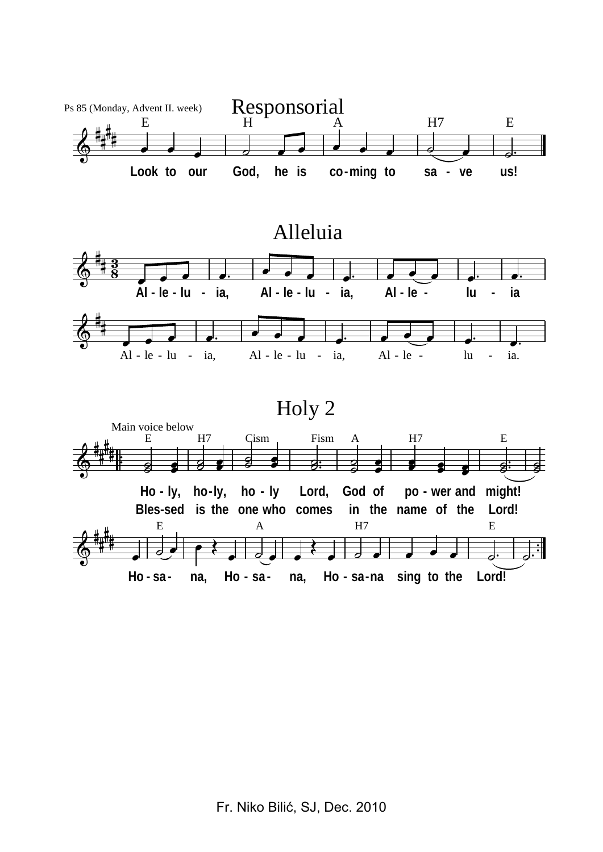